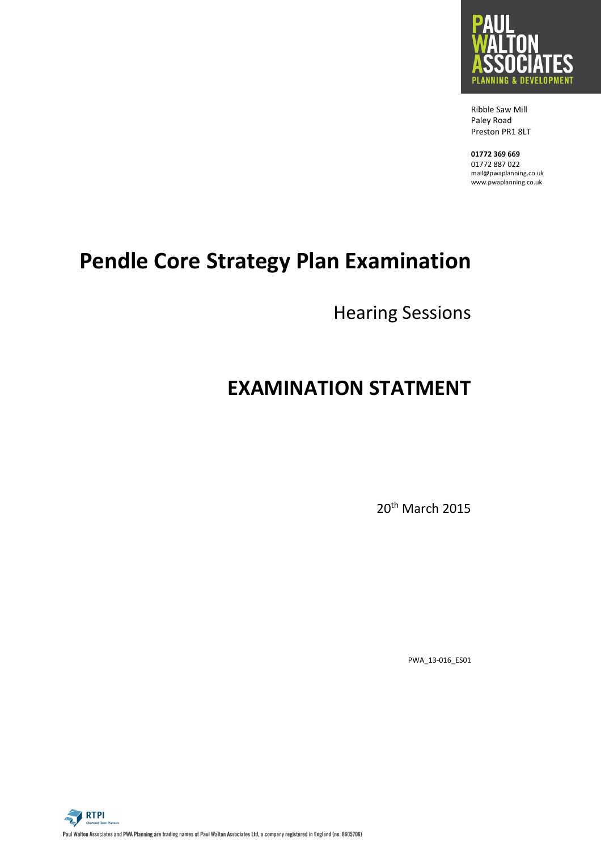

 Ribble Saw Mill Paley Road Preston PR1 8LT

 **01772 369 669**  01772 887 022 mail@pwaplanning.co.uk www.pwaplanning.co.uk

# **Pendle Core Strategy Plan Examination**

Hearing Sessions

## **EXAMINATION STATMENT**

20th March 2015

PWA\_13-016\_ES01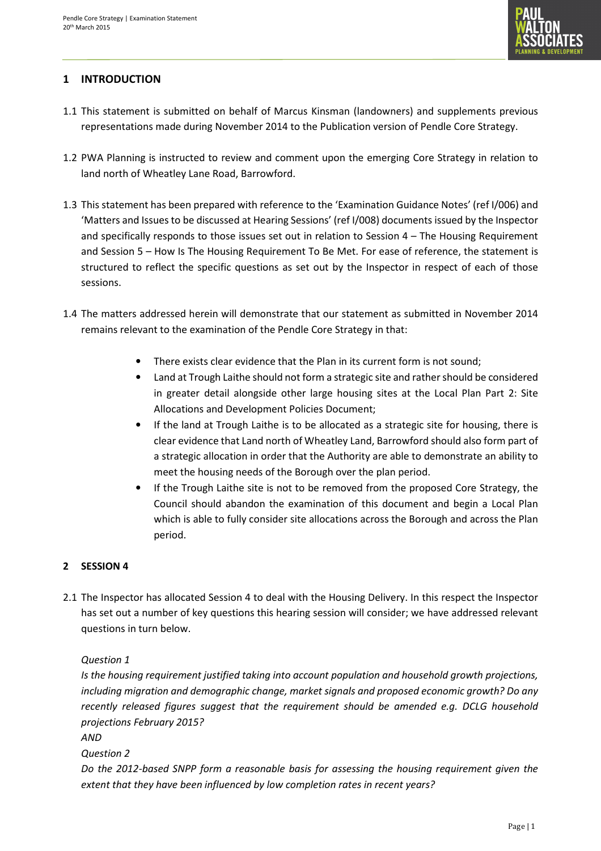

## **1 INTRODUCTION**

- 1.1 This statement is submitted on behalf of Marcus Kinsman (landowners) and supplements previous representations made during November 2014 to the Publication version of Pendle Core Strategy.
- 1.2 PWA Planning is instructed to review and comment upon the emerging Core Strategy in relation to land north of Wheatley Lane Road, Barrowford.
- 1.3 This statement has been prepared with reference to the 'Examination Guidance Notes' (ref I/006) and 'Matters and Issues to be discussed at Hearing Sessions' (ref I/008) documents issued by the Inspector and specifically responds to those issues set out in relation to Session 4 – The Housing Requirement and Session 5 – How Is The Housing Requirement To Be Met. For ease of reference, the statement is structured to reflect the specific questions as set out by the Inspector in respect of each of those sessions.
- 1.4 The matters addressed herein will demonstrate that our statement as submitted in November 2014 remains relevant to the examination of the Pendle Core Strategy in that:
	- There exists clear evidence that the Plan in its current form is not sound;
	- Land at Trough Laithe should not form a strategic site and rather should be considered in greater detail alongside other large housing sites at the Local Plan Part 2: Site Allocations and Development Policies Document;
	- If the land at Trough Laithe is to be allocated as a strategic site for housing, there is clear evidence that Land north of Wheatley Land, Barrowford should also form part of a strategic allocation in order that the Authority are able to demonstrate an ability to meet the housing needs of the Borough over the plan period.
	- If the Trough Laithe site is not to be removed from the proposed Core Strategy, the Council should abandon the examination of this document and begin a Local Plan which is able to fully consider site allocations across the Borough and across the Plan period.

## **2 SESSION 4**

2.1 The Inspector has allocated Session 4 to deal with the Housing Delivery. In this respect the Inspector has set out a number of key questions this hearing session will consider; we have addressed relevant questions in turn below.

*Question 1* 

*Is the housing requirement justified taking into account population and household growth projections, including migration and demographic change, market signals and proposed economic growth? Do any recently released figures suggest that the requirement should be amended e.g. DCLG household projections February 2015?* 

*AND* 

*Question 2* 

*Do the 2012-based SNPP form a reasonable basis for assessing the housing requirement given the extent that they have been influenced by low completion rates in recent years?*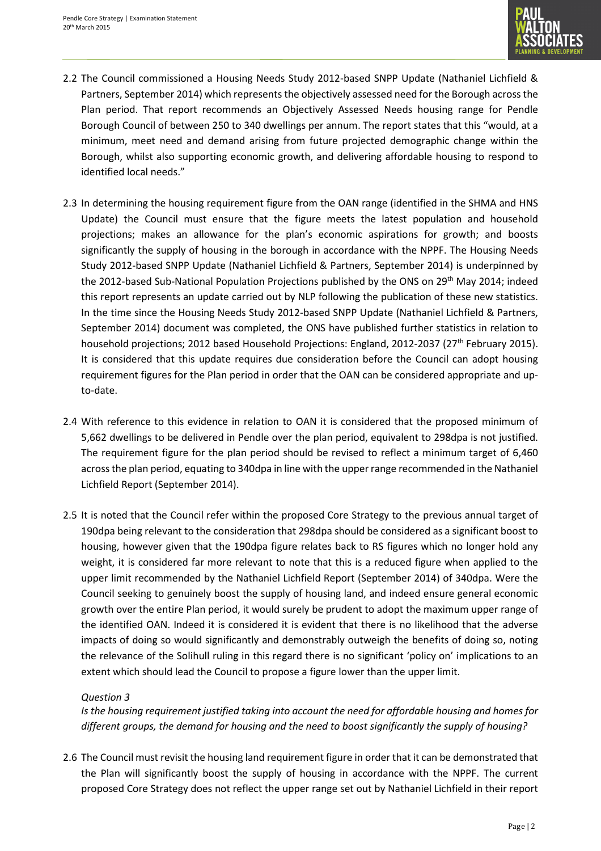

- 2.2 The Council commissioned a Housing Needs Study 2012-based SNPP Update (Nathaniel Lichfield & Partners, September 2014) which represents the objectively assessed need for the Borough across the Plan period. That report recommends an Objectively Assessed Needs housing range for Pendle Borough Council of between 250 to 340 dwellings per annum. The report states that this "would, at a minimum, meet need and demand arising from future projected demographic change within the Borough, whilst also supporting economic growth, and delivering affordable housing to respond to identified local needs."
- 2.3 In determining the housing requirement figure from the OAN range (identified in the SHMA and HNS Update) the Council must ensure that the figure meets the latest population and household projections; makes an allowance for the plan's economic aspirations for growth; and boosts significantly the supply of housing in the borough in accordance with the NPPF. The Housing Needs Study 2012-based SNPP Update (Nathaniel Lichfield & Partners, September 2014) is underpinned by the 2012-based Sub-National Population Projections published by the ONS on 29<sup>th</sup> May 2014; indeed this report represents an update carried out by NLP following the publication of these new statistics. In the time since the Housing Needs Study 2012-based SNPP Update (Nathaniel Lichfield & Partners, September 2014) document was completed, the ONS have published further statistics in relation to household projections; 2012 based Household Projections: England, 2012-2037 (27<sup>th</sup> February 2015). It is considered that this update requires due consideration before the Council can adopt housing requirement figures for the Plan period in order that the OAN can be considered appropriate and upto-date.
- 2.4 With reference to this evidence in relation to OAN it is considered that the proposed minimum of 5,662 dwellings to be delivered in Pendle over the plan period, equivalent to 298dpa is not justified. The requirement figure for the plan period should be revised to reflect a minimum target of 6,460 across the plan period, equating to 340dpa in line with the upper range recommended in the Nathaniel Lichfield Report (September 2014).
- 2.5 It is noted that the Council refer within the proposed Core Strategy to the previous annual target of 190dpa being relevant to the consideration that 298dpa should be considered as a significant boost to housing, however given that the 190dpa figure relates back to RS figures which no longer hold any weight, it is considered far more relevant to note that this is a reduced figure when applied to the upper limit recommended by the Nathaniel Lichfield Report (September 2014) of 340dpa. Were the Council seeking to genuinely boost the supply of housing land, and indeed ensure general economic growth over the entire Plan period, it would surely be prudent to adopt the maximum upper range of the identified OAN. Indeed it is considered it is evident that there is no likelihood that the adverse impacts of doing so would significantly and demonstrably outweigh the benefits of doing so, noting the relevance of the Solihull ruling in this regard there is no significant 'policy on' implications to an extent which should lead the Council to propose a figure lower than the upper limit.

#### *Question 3*

*Is the housing requirement justified taking into account the need for affordable housing and homes for different groups, the demand for housing and the need to boost significantly the supply of housing?* 

2.6 The Council must revisit the housing land requirement figure in order that it can be demonstrated that the Plan will significantly boost the supply of housing in accordance with the NPPF. The current proposed Core Strategy does not reflect the upper range set out by Nathaniel Lichfield in their report